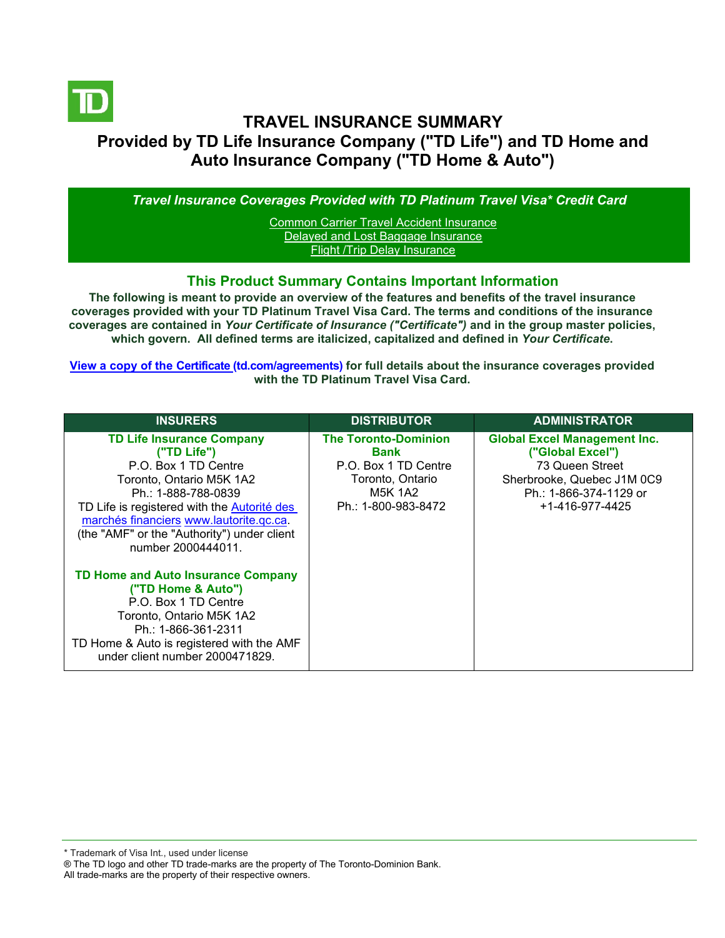

# **TRAVEL INSURANCE SUMMARY Provided by TD Life Insurance Company ("TD Life") and TD Home and Auto Insurance Company ("TD Home & Auto")**

*Travel Insurance Coverages Provided with TD Platinum Travel Visa\* Credit Card*

[Common Carrier Travel Accident Insurance](#page-3-0) [Delayed and Lost Baggage Insurance](#page-4-0) [Flight /Trip Delay Insurance](#page-5-0)

## **This Product Summary Contains Important Information**

**The following is meant to provide an overview of the features and benefits of the travel insurance coverages provided with your TD Platinum Travel Visa Card. The terms and conditions of the insurance coverages are contained in** *Your Certificate of Insurance ("Certificate")* **and in the group master policies, which govern. All defined terms are italicized, capitalized and defined in** *Your Certificate***.**

**[View a copy of the Certificate](https://www.td.com/ca/en/personal-banking/how-to/manage-my-credit-card/getting-started/?tdtab=4) (td.com/agreements) for full details about the insurance coverages provided with the TD Platinum Travel Visa Card.** 

| <b>INSURERS</b>                                                                                                                                                                                                                                                                                  | <b>DISTRIBUTOR</b>                                                                                                              | <b>ADMINISTRATOR</b>                                                                                                                                  |
|--------------------------------------------------------------------------------------------------------------------------------------------------------------------------------------------------------------------------------------------------------------------------------------------------|---------------------------------------------------------------------------------------------------------------------------------|-------------------------------------------------------------------------------------------------------------------------------------------------------|
| <b>TD Life Insurance Company</b><br>("TD Life")<br>P.O. Box 1 TD Centre<br>Toronto, Ontario M5K 1A2<br>Ph.: 1-888-788-0839<br>TD Life is registered with the <b>Autorité des</b><br>marchés financiers www.lautorite.qc.ca.<br>(the "AMF" or the "Authority") under client<br>number 2000444011. | <b>The Toronto-Dominion</b><br><b>Bank</b><br>P.O. Box 1 TD Centre<br>Toronto, Ontario<br><b>M5K 1A2</b><br>Ph.: 1-800-983-8472 | <b>Global Excel Management Inc.</b><br>("Global Excel")<br>73 Queen Street<br>Sherbrooke, Quebec J1M 0C9<br>Ph.: 1-866-374-1129 or<br>+1-416-977-4425 |
| <b>TD Home and Auto Insurance Company</b><br>("TD Home & Auto")<br>P.O. Box 1 TD Centre<br>Toronto, Ontario M5K 1A2<br>Ph.: 1-866-361-2311<br>TD Home & Auto is registered with the AMF<br>under client number 2000471829.                                                                       |                                                                                                                                 |                                                                                                                                                       |

\* Trademark of Visa Int., used under license

All trade-marks are the property of their respective owners.

<sup>®</sup> The TD logo and other TD trade-marks are the property of The Toronto-Dominion Bank.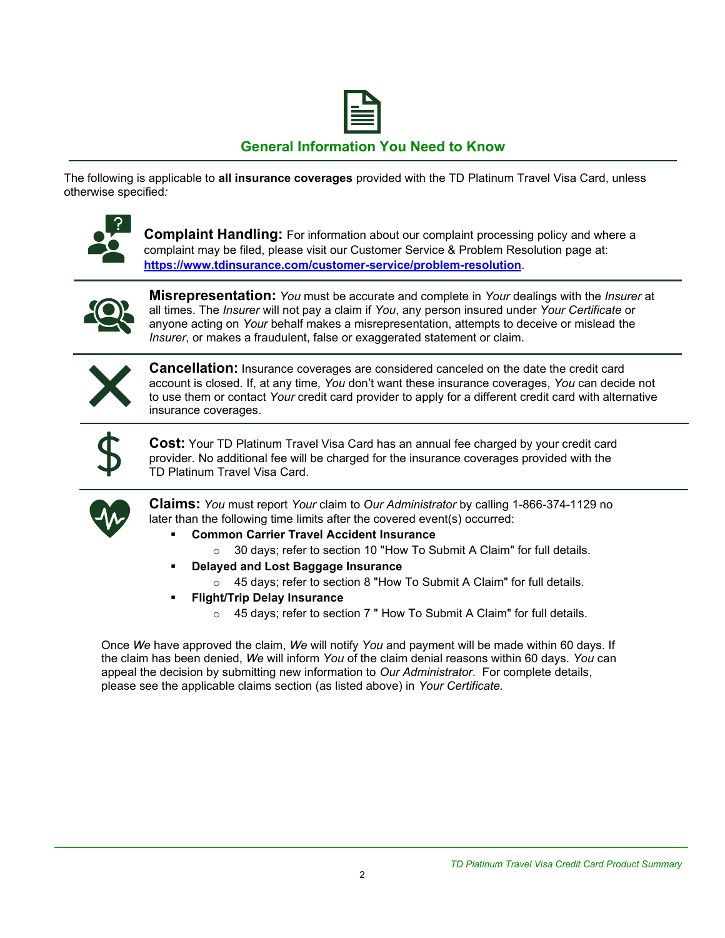

## **General Information You Need to Know**

The following is applicable to **all insurance coverages** provided with the TD Platinum Travel Visa Card, unless otherwise specified*:*



**Complaint Handling:** For information about our complaint processing policy and where a complaint may be filed, please visit our Customer Service & Problem Resolution page at: **<https://www.tdinsurance.com/customer-service/problem-resolution>**.



**Misrepresentation:** *You* must be accurate and complete in *Your* dealings with the *Insurer* at all times. The *Insurer* will not pay a claim if *You*, any person insured under *Your Certificate* or anyone acting on *Your* behalf makes a misrepresentation, attempts to deceive or mislead the *Insurer*, or makes a fraudulent, false or exaggerated statement or claim.



**Cancellation:** Insurance coverages are considered canceled on the date the credit card account is closed. If, at any time, *You* don't want these insurance coverages, *You* can decide not to use them or contact *Your* credit card provider to apply for a different credit card with alternative insurance coverages.



**Cost:** Your TD Platinum Travel Visa Card has an annual fee charged by your credit card provider. No additional fee will be charged for the insurance coverages provided with the TD Platinum Travel Visa Card.



**Claims:** *You* must report *Your* claim to *Our Administrator* by calling 1-866-374-1129 no later than the following time limits after the covered event(s) occurred:

- **Common Carrier Travel Accident Insurance** 
	- o 30 days; refer to section 10 "How To Submit A Claim" for full details.
- **Delayed and Lost Baggage Insurance** 
	- o 45 days; refer to section 8 "How To Submit A Claim" for full details.
- **Flight/Trip Delay Insurance** 
	- o 45 days; refer to section 7 " How To Submit A Claim" for full details.

Once *We* have approved the claim, *We* will notify *You* and payment will be made within 60 days. If the claim has been denied, *We* will inform *You* of the claim denial reasons within 60 days. *You* can appeal the decision by submitting new information to *Our Administrator*. For complete details, please see the applicable claims section (as listed above) in *Your Certificate.*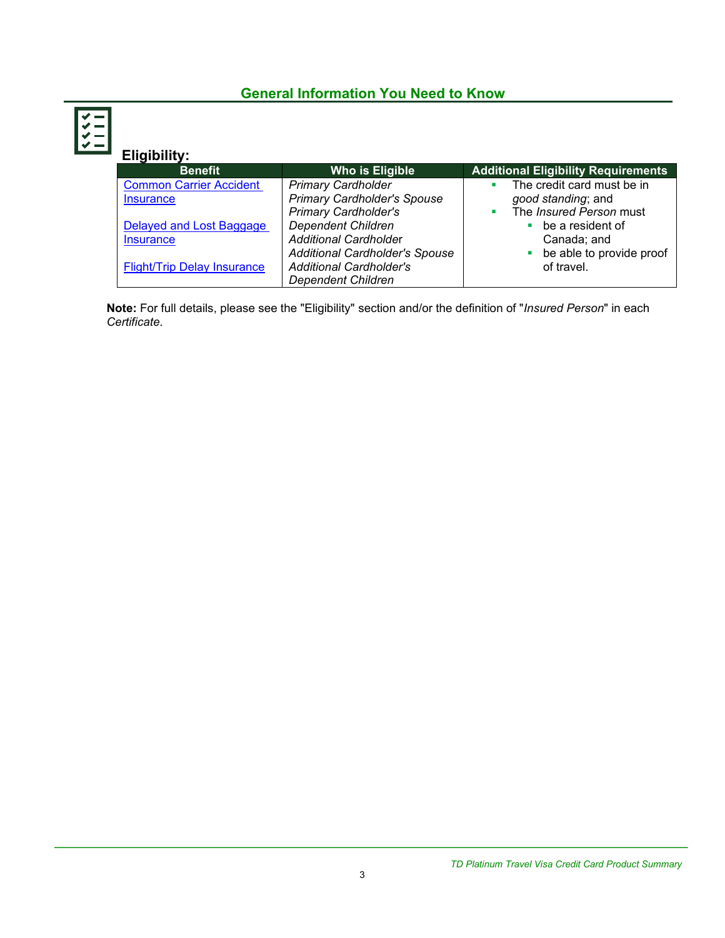## **General Information You Need to Know**

| Eligibility:                       |                                       |                                            |
|------------------------------------|---------------------------------------|--------------------------------------------|
| <b>Benefit</b>                     | <b>Who is Eligible</b>                | <b>Additional Eligibility Requirements</b> |
| <b>Common Carrier Accident</b>     | <b>Primary Cardholder</b>             | The credit card must be in                 |
| <b>Insurance</b>                   | <b>Primary Cardholder's Spouse</b>    | good standing; and                         |
|                                    | <b>Primary Cardholder's</b>           | The Insured Person must<br>٠               |
| Delayed and Lost Baggage           | <b>Dependent Children</b>             | be a resident of                           |
| <b>Insurance</b>                   | <b>Additional Cardholder</b>          | Canada; and                                |
|                                    | <b>Additional Cardholder's Spouse</b> | be able to provide proof                   |
| <b>Flight/Trip Delay Insurance</b> | <b>Additional Cardholder's</b>        | of travel.                                 |
|                                    | <b>Dependent Children</b>             |                                            |

**Note:** For full details, please see the "Eligibility" section and/or the definition of "*Insured Person*" in each *Certificate*.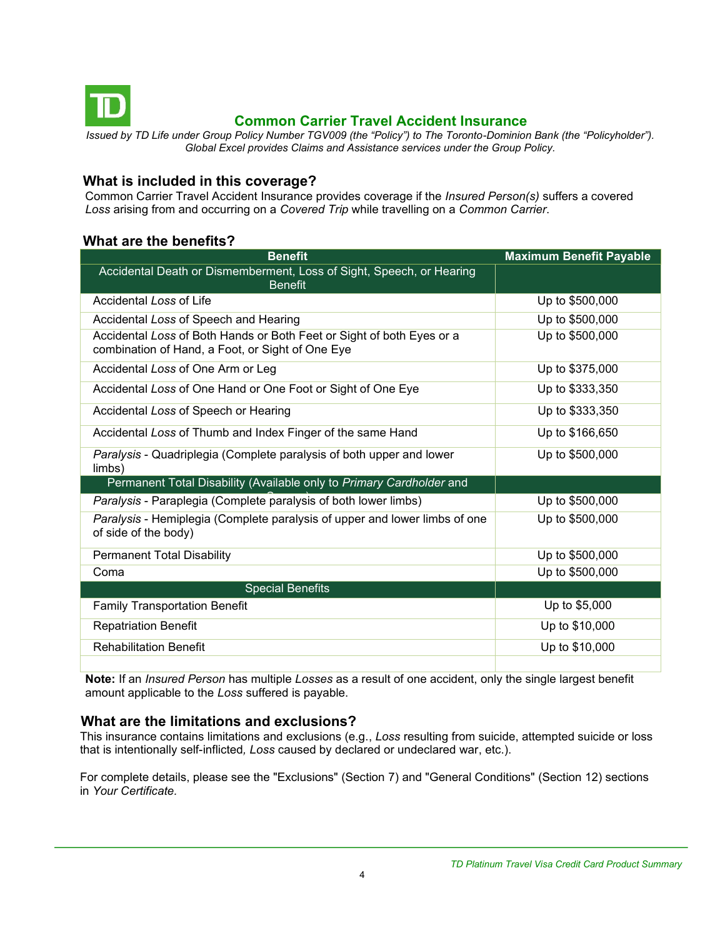<span id="page-3-0"></span>

## **Common Carrier Travel Accident Insurance**

*Issued by TD Life under Group Policy Number TGV009 (the "Policy") to The Toronto-Dominion Bank (the "Policyholder"). Global Excel provides Claims and Assistance services under the Group Policy.*

## **What is included in this coverage?**

Common Carrier Travel Accident Insurance provides coverage if the *Insured Person(s)* suffers a covered *Loss* arising from and occurring on a *Covered Trip* while travelling on a *Common Carrier*.

## **What are the benefits?**

| <b>Benefit</b>                                                                                                            | <b>Maximum Benefit Payable</b> |
|---------------------------------------------------------------------------------------------------------------------------|--------------------------------|
| Accidental Death or Dismemberment, Loss of Sight, Speech, or Hearing<br><b>Benefit</b>                                    |                                |
| Accidental Loss of Life                                                                                                   | Up to \$500,000                |
| Accidental Loss of Speech and Hearing                                                                                     | Up to \$500,000                |
| Accidental Loss of Both Hands or Both Feet or Sight of both Eyes or a<br>combination of Hand, a Foot, or Sight of One Eye | Up to \$500,000                |
| Accidental Loss of One Arm or Leg                                                                                         | Up to \$375,000                |
| Accidental Loss of One Hand or One Foot or Sight of One Eye                                                               | Up to \$333,350                |
| Accidental Loss of Speech or Hearing                                                                                      | Up to \$333,350                |
| Accidental Loss of Thumb and Index Finger of the same Hand                                                                | Up to \$166,650                |
| Paralysis - Quadriplegia (Complete paralysis of both upper and lower<br>limbs)                                            | Up to \$500,000                |
| Permanent Total Disability (Available only to Primary Cardholder and                                                      |                                |
| Paralysis - Paraplegia (Complete paralysis of both lower limbs)                                                           | Up to \$500,000                |
| Paralysis - Hemiplegia (Complete paralysis of upper and lower limbs of one<br>of side of the body)                        | Up to \$500,000                |
| <b>Permanent Total Disability</b>                                                                                         | Up to \$500,000                |
| Coma                                                                                                                      | Up to \$500,000                |
| <b>Special Benefits</b>                                                                                                   |                                |
| <b>Family Transportation Benefit</b>                                                                                      | Up to \$5,000                  |
| <b>Repatriation Benefit</b>                                                                                               | Up to \$10,000                 |
| <b>Rehabilitation Benefit</b>                                                                                             | Up to \$10,000                 |
|                                                                                                                           |                                |

**Note:** If an *Insured Person* has multiple *Losses* as a result of one accident, only the single largest benefit amount applicable to the *Loss* suffered is payable.

#### **What are the limitations and exclusions?**

This insurance contains limitations and exclusions (e.g., *Loss* resulting from suicide, attempted suicide or loss that is intentionally self-inflicted*, Loss* caused by declared or undeclared war, etc.).

For complete details, please see the "Exclusions" (Section 7) and "General Conditions" (Section 12) sections in *Your Certificate.*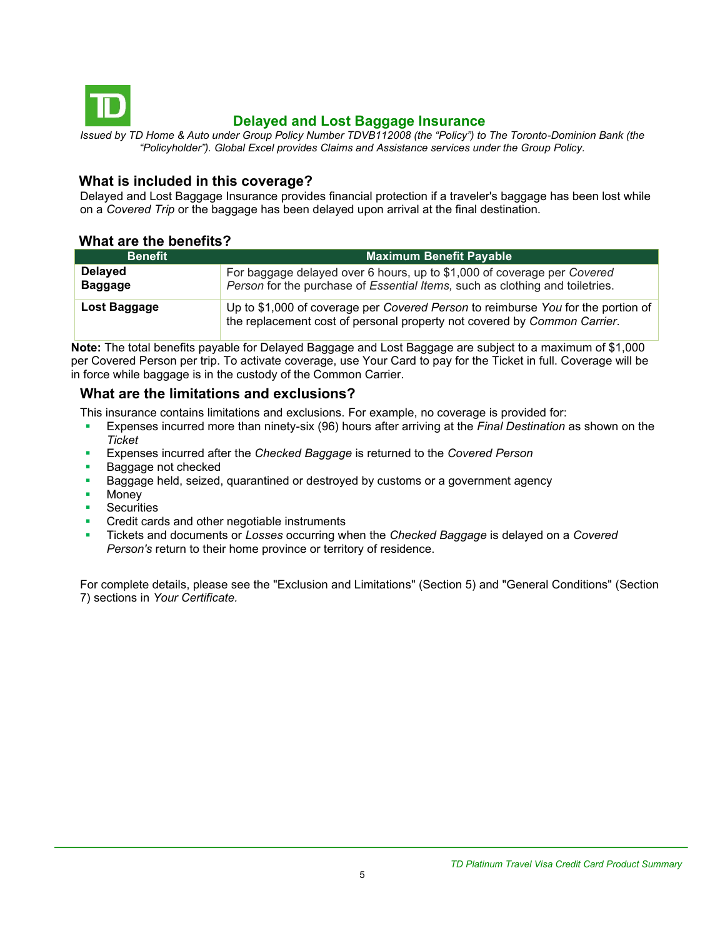<span id="page-4-0"></span>

## **Delayed and Lost Baggage Insurance**

*Issued by TD Home & Auto under Group Policy Number TDVB112008 (the "Policy") to The Toronto-Dominion Bank (the "Policyholder"). Global Excel provides Claims and Assistance services under the Group Policy.*

#### **What is included in this coverage?**

Delayed and Lost Baggage Insurance provides financial protection if a traveler's baggage has been lost while on a *Covered Trip* or the baggage has been delayed upon arrival at the final destination.

#### **What are the benefits?**

| <b>Benefit</b>                   | <b>Maximum Benefit Payable</b>                                                                                                                               |
|----------------------------------|--------------------------------------------------------------------------------------------------------------------------------------------------------------|
| <b>Delayed</b><br><b>Baggage</b> | For baggage delayed over 6 hours, up to \$1,000 of coverage per Covered<br>Person for the purchase of Essential Items, such as clothing and toiletries.      |
| Lost Baggage                     | Up to \$1,000 of coverage per Covered Person to reimburse You for the portion of<br>the replacement cost of personal property not covered by Common Carrier. |

**Note:** The total benefits payable for Delayed Baggage and Lost Baggage are subject to a maximum of \$1,000 per Covered Person per trip. To activate coverage, use Your Card to pay for the Ticket in full. Coverage will be in force while baggage is in the custody of the Common Carrier.

## **What are the limitations and exclusions?**

This insurance contains limitations and exclusions. For example, no coverage is provided for:

- Expenses incurred more than ninety-six (96) hours after arriving at the *Final Destination* as shown on the *Ticket*
- Expenses incurred after the *Checked Baggage* is returned to the *Covered Person*
- Baggage not checked
- Baggage held, seized, quarantined or destroyed by customs or a government agency
- **Money**
- **Securities**
- Credit cards and other negotiable instruments
- Tickets and documents or *Losses* occurring when the *Checked Baggage* is delayed on a *Covered Person's* return to their home province or territory of residence.

For complete details, please see the "Exclusion and Limitations" (Section 5) and "General Conditions" (Section 7) sections in *Your Certificate.*